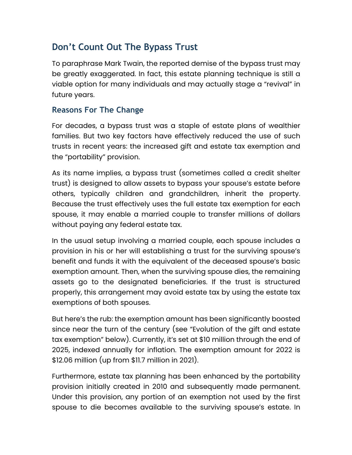# **Don't Count Out The Bypass Trust**

To paraphrase Mark Twain, the reported demise of the bypass trust may be greatly exaggerated. In fact, this estate planning technique is still a viable option for many individuals and may actually stage a "revival" in future years.

### **Reasons For The Change**

For decades, a bypass trust was a staple of estate plans of wealthier families. But two key factors have effectively reduced the use of such trusts in recent years: the increased gift and estate tax exemption and the "portability" provision.

As its name implies, a bypass trust (sometimes called a credit shelter trust) is designed to allow assets to bypass your spouse's estate before others, typically children and grandchildren, inherit the property. Because the trust effectively uses the full estate tax exemption for each spouse, it may enable a married couple to transfer millions of dollars without paying any federal estate tax.

In the usual setup involving a married couple, each spouse includes a provision in his or her will establishing a trust for the surviving spouse's benefit and funds it with the equivalent of the deceased spouse's basic exemption amount. Then, when the surviving spouse dies, the remaining assets go to the designated beneficiaries. If the trust is structured properly, this arrangement may avoid estate tax by using the estate tax exemptions of both spouses.

But here's the rub: the exemption amount has been significantly boosted since near the turn of the century (see "Evolution of the gift and estate tax exemption" below). Currently, it's set at \$10 million through the end of 2025, indexed annually for inflation. The exemption amount for 2022 is \$12.06 million (up from \$11.7 million in 2021).

Furthermore, estate tax planning has been enhanced by the portability provision initially created in 2010 and subsequently made permanent. Under this provision, any portion of an exemption not used by the first spouse to die becomes available to the surviving spouse's estate. In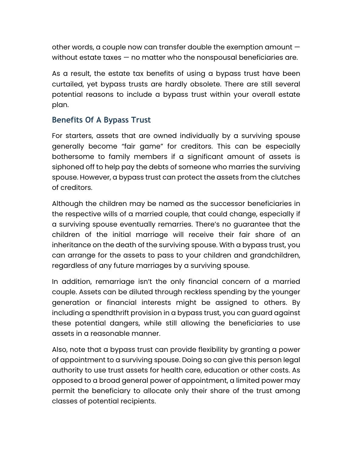other words, a couple now can transfer double the exemption amount without estate taxes — no matter who the nonspousal beneficiaries are.

As a result, the estate tax benefits of using a bypass trust have been curtailed, yet bypass trusts are hardly obsolete. There are still several potential reasons to include a bypass trust within your overall estate plan.

#### **Benefits Of A Bypass Trust**

For starters, assets that are owned individually by a surviving spouse generally become "fair game" for creditors. This can be especially bothersome to family members if a significant amount of assets is siphoned off to help pay the debts of someone who marries the surviving spouse. However, a bypass trust can protect the assets from the clutches of creditors.

Although the children may be named as the successor beneficiaries in the respective wills of a married couple, that could change, especially if a surviving spouse eventually remarries. There's no guarantee that the children of the initial marriage will receive their fair share of an inheritance on the death of the surviving spouse. With a bypass trust, you can arrange for the assets to pass to your children and grandchildren, regardless of any future marriages by a surviving spouse.

In addition, remarriage isn't the only financial concern of a married couple. Assets can be diluted through reckless spending by the younger generation or financial interests might be assigned to others. By including a spendthrift provision in a bypass trust, you can guard against these potential dangers, while still allowing the beneficiaries to use assets in a reasonable manner.

Also, note that a bypass trust can provide flexibility by granting a power of appointment to a surviving spouse. Doing so can give this person legal authority to use trust assets for health care, education or other costs. As opposed to a broad general power of appointment, a limited power may permit the beneficiary to allocate only their share of the trust among classes of potential recipients.